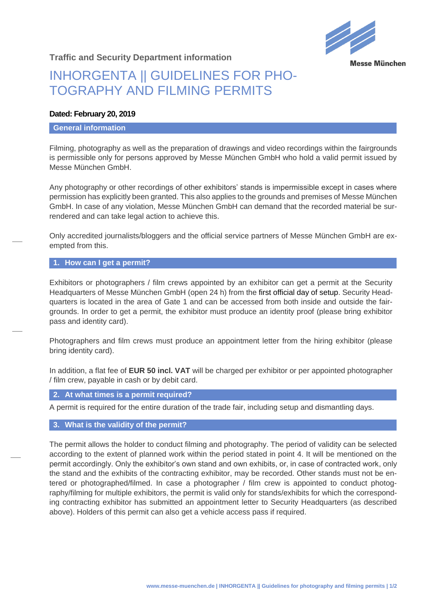

**Traffic and Security Department information**

## INHORGENTA || GUIDELINES FOR PHO-TOGRAPHY AND FILMING PERMITS

## **Dated: February 20, 2019**

#### **General information**

Filming, photography as well as the preparation of drawings and video recordings within the fairgrounds is permissible only for persons approved by Messe München GmbH who hold a valid permit issued by Messe München GmbH.

Any photography or other recordings of other exhibitors' stands is impermissible except in cases where permission has explicitly been granted. This also applies to the grounds and premises of Messe München GmbH. In case of any violation, Messe München GmbH can demand that the recorded material be surrendered and can take legal action to achieve this.

Only accredited journalists/bloggers and the official service partners of Messe München GmbH are exempted from this.

## **1. How can I get a permit?**

Exhibitors or photographers / film crews appointed by an exhibitor can get a permit at the Security Headquarters of Messe München GmbH (open 24 h) from the first official day of setup. Security Headquarters is located in the area of Gate 1 and can be accessed from both inside and outside the fairgrounds. In order to get a permit, the exhibitor must produce an identity proof (please bring exhibitor pass and identity card).

Photographers and film crews must produce an appointment letter from the hiring exhibitor (please bring identity card).

In addition, a flat fee of **EUR 50 incl. VAT** will be charged per exhibitor or per appointed photographer / film crew, payable in cash or by debit card.

**2. At what times is a permit required?**

A permit is required for the entire duration of the trade fair, including setup and dismantling days.

## **3. What is the validity of the permit?**

The permit allows the holder to conduct filming and photography. The period of validity can be selected according to the extent of planned work within the period stated in point 4. It will be mentioned on the permit accordingly. Only the exhibitor's own stand and own exhibits, or, in case of contracted work, only the stand and the exhibits of the contracting exhibitor, may be recorded. Other stands must not be entered or photographed/filmed. In case a photographer / film crew is appointed to conduct photography/filming for multiple exhibitors, the permit is valid only for stands/exhibits for which the corresponding contracting exhibitor has submitted an appointment letter to Security Headquarters (as described above). Holders of this permit can also get a vehicle access pass if required.